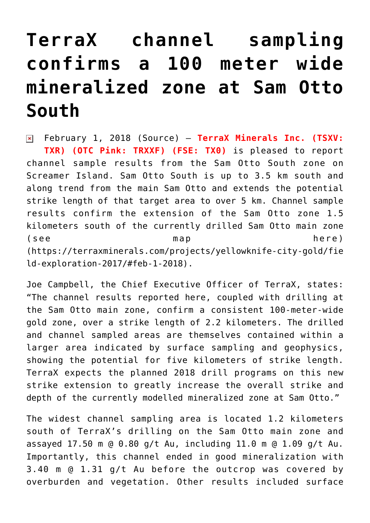## **[TerraX channel sampling](https://investorintel.com/markets/gold-silver-base-metals/gold-precious-metals-news/terrax-channel-sampling-confirms-100-meter-wide-mineralized-zone-sam-otto-south/) [confirms a 100 meter wide](https://investorintel.com/markets/gold-silver-base-metals/gold-precious-metals-news/terrax-channel-sampling-confirms-100-meter-wide-mineralized-zone-sam-otto-south/) [mineralized zone at Sam Otto](https://investorintel.com/markets/gold-silver-base-metals/gold-precious-metals-news/terrax-channel-sampling-confirms-100-meter-wide-mineralized-zone-sam-otto-south/) [South](https://investorintel.com/markets/gold-silver-base-metals/gold-precious-metals-news/terrax-channel-sampling-confirms-100-meter-wide-mineralized-zone-sam-otto-south/)**

February 1, 2018 ([Source\)](https://investorintel.com/iintel-members/terrax-minerals-inc/) — **TerraX Minerals Inc. (TSXV:**  $\pmb{\times}$ **TXR) (OTC Pink: TRXXF) (FSE: TX0)** is pleased to report channel sample results from the Sam Otto South zone on Screamer Island. Sam Otto South is up to 3.5 km south and along trend from the main Sam Otto and extends the potential strike length of that target area to over 5 km. Channel sample results confirm the extension of the Sam Otto zone 1.5 kilometers south of the currently drilled Sam Otto main zone ([see map here\)](https://terraxminerals.com/projects/yellowknife-city-gold/field-exploration-2017/#feb-1-2018) ([https://terraxminerals.com/projects/yellowknife-city-gold/fie](https://terraxminerals.com/projects/yellowknife-city-gold/field-exploration-2017/#feb-1-2018) [ld-exploration-2017/#feb-1-2018](https://terraxminerals.com/projects/yellowknife-city-gold/field-exploration-2017/#feb-1-2018)).

Joe Campbell, the Chief Executive Officer of TerraX, states: "The channel results reported here, coupled with drilling at the Sam Otto main zone, confirm a consistent 100-meter-wide gold zone, over a strike length of 2.2 kilometers. The drilled and channel sampled areas are themselves contained within a larger area indicated by surface sampling and geophysics, showing the potential for five kilometers of strike length. TerraX expects the planned 2018 drill programs on this new strike extension to greatly increase the overall strike and depth of the currently modelled mineralized zone at Sam Otto."

The widest channel sampling area is located 1.2 kilometers south of TerraX's drilling on the Sam Otto main zone and assayed 17.50 m @ 0.80 g/t Au, including 11.0 m @ 1.09 g/t Au. Importantly, this channel ended in good mineralization with 3.40 m @ 1.31 g/t Au before the outcrop was covered by overburden and vegetation. Other results included surface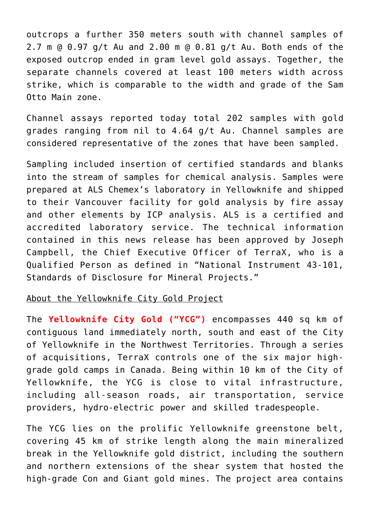outcrops a further 350 meters south with channel samples of 2.7 m @ 0.97 g/t Au and 2.00 m @ 0.81 g/t Au. Both ends of the exposed outcrop ended in gram level gold assays. Together, the separate channels covered at least 100 meters width across strike, which is comparable to the width and grade of the Sam Otto Main zone.

Channel assays reported today total 202 samples with gold grades ranging from nil to 4.64 g/t Au. Channel samples are considered representative of the zones that have been sampled.

Sampling included insertion of certified standards and blanks into the stream of samples for chemical analysis. Samples were prepared at ALS Chemex's laboratory in Yellowknife and shipped to their Vancouver facility for gold analysis by fire assay and other elements by ICP analysis. ALS is a certified and accredited laboratory service. The technical information contained in this news release has been approved by Joseph Campbell, the Chief Executive Officer of TerraX, who is a Qualified Person as defined in "National Instrument 43-101, Standards of Disclosure for Mineral Projects."

## About the Yellowknife City Gold Project

The **Yellowknife City Gold ("YCG")** encompasses 440 sq km of contiguous land immediately north, south and east of the City of Yellowknife in the Northwest Territories. Through a series of acquisitions, TerraX controls one of the six major highgrade gold camps in Canada. Being within 10 km of the City of Yellowknife, the YCG is close to vital infrastructure, including all-season roads, air transportation, service providers, hydro-electric power and skilled tradespeople.

The YCG lies on the prolific Yellowknife greenstone belt, covering 45 km of strike length along the main mineralized break in the Yellowknife gold district, including the southern and northern extensions of the shear system that hosted the high-grade Con and Giant gold mines. The project area contains